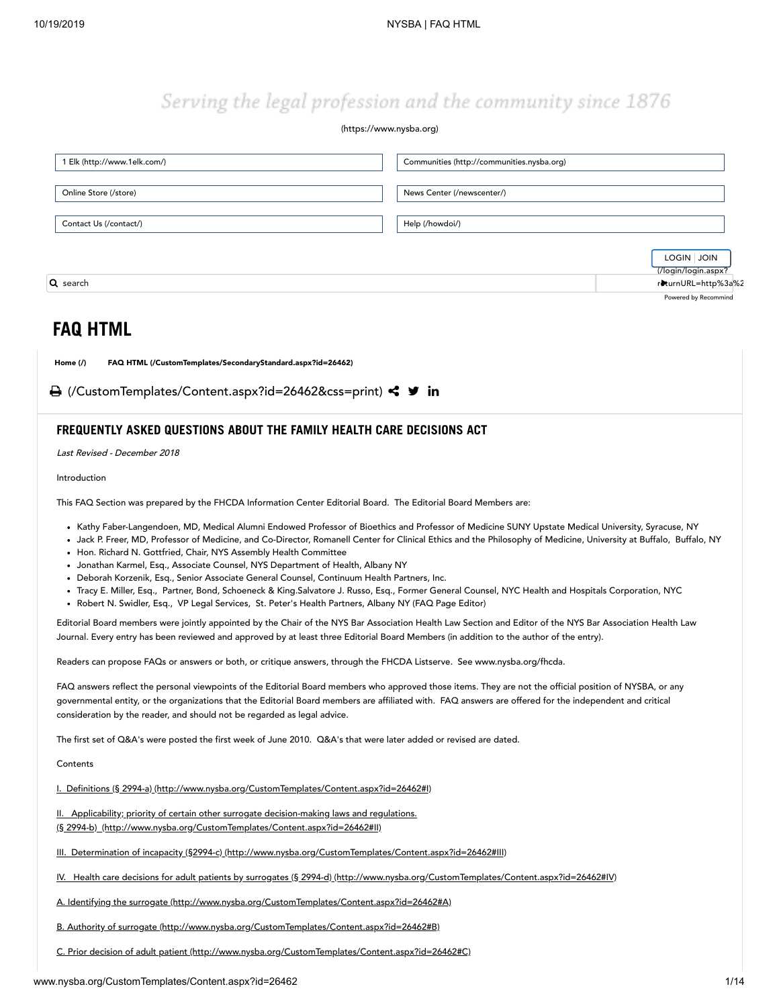# Serving the legal profession and the community since 1876

### [\(https://www.nysba.org\)](https://www.nysba.org/)

| 1 Elk (http://www.1elk.com/) | Communities (http://communities.nysba.org) |
|------------------------------|--------------------------------------------|
| Online Store (/store)        | News Center (/newscenter/)                 |
| Contact Us (/contact/)       | Help (/howdoi/)                            |
|                              | LOGIN JOIN<br>(/login/login.aspx?          |
| Q search                     | riturnURL=http%3a%2                        |
|                              | Powered by Recommind                       |

# **FAQ HTML**

[Home](http://www.nysba.org/) (/) FAQ HTML [\(/CustomTemplates/SecondaryStandard.aspx?id=26462\)](http://www.nysba.org/CustomTemplates/SecondaryStandard.aspx?id=26462)

**A** [\(/CustomTemplates/Content.aspx?id=26462&css=print\)](http://www.nysba.org/CustomTemplates/Content.aspx?id=26462&css=print) < **9** in

# **FREQUENTLY ASKED QUESTIONS ABOUT THE FAMILY HEALTH CARE DECISIONS ACT**

Last Revised - December 2018

Introduction

This FAQ Section was prepared by the FHCDA Information Center Editorial Board. The Editorial Board Members are:

- Kathy Faber-Langendoen, MD, Medical Alumni Endowed Professor of Bioethics and Professor of Medicine SUNY Upstate Medical University, Syracuse, NY
- . Jack P. Freer, MD, Professor of Medicine, and Co-Director, Romanell Center for Clinical Ethics and the Philosophy of Medicine, University at Buffalo, Buffalo, NY
- Hon. Richard N. Gottfried, Chair, NYS Assembly Health Committee
- Jonathan Karmel, Esq., Associate Counsel, NYS Department of Health, Albany NY
- Deborah Korzenik, Esq., Senior Associate General Counsel, Continuum Health Partners, Inc.
- Tracy E. Miller, Esq., Partner, Bond, Schoeneck & King.Salvatore J. Russo, Esq., Former General Counsel, NYC Health and Hospitals Corporation, NYC
- Robert N. Swidler, Esq., VP Legal Services, St. Peter's Health Partners, Albany NY (FAQ Page Editor)

Editorial Board members were jointly appointed by the Chair of the NYS Bar Association Health Law Section and Editor of the NYS Bar Association Health Law Journal. Every entry has been reviewed and approved by at least three Editorial Board Members (in addition to the author of the entry).

Readers can propose FAQs or answers or both, or critique answers, through the FHCDA Listserve. See www.nysba.org/fhcda.

FAQ answers reflect the personal viewpoints of the Editorial Board members who approved those items. They are not the official position of NYSBA, or any governmental entity, or the organizations that the Editorial Board members are affiliated with. FAQ answers are offered for the independent and critical consideration by the reader, and should not be regarded as legal advice.

The first set of Q&A's were posted the first week of June 2010. Q&A's that were later added or revised are dated.

**Contents** 

I. Definitions (§ 2994-a) [\(http://www.nysba.org/CustomTemplates/Content.aspx?id=26462#I\)](#page-1-0)

II. Applicability; priority of certain other surrogate decision-making laws and regulations. (§ 2994-b) [\(http://www.nysba.org/CustomTemplates/Content.aspx?id=26462#II\)](#page-2-0)

III. Determination of incapacity (§2994-c) [\(http://www.nysba.org/CustomTemplates/Content.aspx?id=26462#III\)](#page-3-0)

IV. Health care decisions for adult patients by surrogates (§ 2994-d) [\(http://www.nysba.org/CustomTemplates/Content.aspx?id=26462#IV\)](#page-4-0)

A. Identifying the surrogate [\(http://www.nysba.org/CustomTemplates/Content.aspx?id=26462#A\)](#page-4-1)

B. Authority of surrogate [\(http://www.nysba.org/CustomTemplates/Content.aspx?id=26462#B\)](#page-5-0)

C. Prior decision of adult patient [\(http://www.nysba.org/CustomTemplates/Content.aspx?id=26462#C\)](#page-6-0)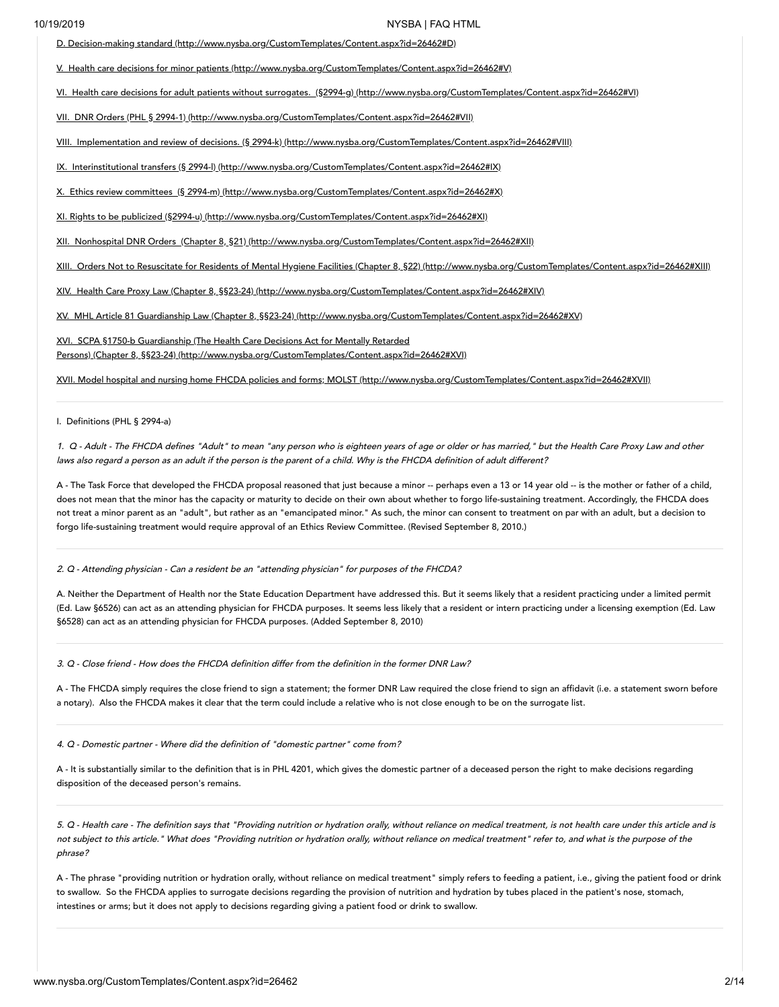D. Decision-making standard [\(http://www.nysba.org/CustomTemplates/Content.aspx?id=26462#D\)](#page-7-0)

V. Health care decisions for minor patients [\(http://www.nysba.org/CustomTemplates/Content.aspx?id=26462#V\)](#page-8-0)

VI. Health care decisions for adult patients without surrogates. (§2994-g) [\(http://www.nysba.org/CustomTemplates/Content.aspx?id=26462#VI\)](#page-8-1)

VII. DNR Orders (PHL § 2994-1) [\(http://www.nysba.org/CustomTemplates/Content.aspx?id=26462#VII\)](#page-9-0)

VIII. Implementation and review of decisions. (§ 2994-k) [\(http://www.nysba.org/CustomTemplates/Content.aspx?id=26462#VIII\)](#page-9-1)

IX. Interinstitutional transfers (§ 2994-l) [\(http://www.nysba.org/CustomTemplates/Content.aspx?id=26462#IX\)](#page-9-2)

X. Ethics review committees (§ 2994-m) [\(http://www.nysba.org/CustomTemplates/Content.aspx?id=26462#X\)](#page-10-0)

XI. Rights to be publicized (§2994-u) [\(http://www.nysba.org/CustomTemplates/Content.aspx?id=26462#XI\)](#page-10-1)

XII. Nonhospital DNR Orders (Chapter 8, §21) [\(http://www.nysba.org/CustomTemplates/Content.aspx?id=26462#XII\)](#page-11-0)

XIII. Orders Not to Resuscitate for Residents of Mental Hygiene Facilities (Chapter 8, §22) [\(http://www.nysba.org/CustomTemplates/Content.aspx?id=26462#XIII\)](#page-12-0)

XIV. Health Care Proxy Law (Chapter 8, §§23-24) [\(http://www.nysba.org/CustomTemplates/Content.aspx?id=26462#XIV\)](#page-12-1)

XV. MHL Article 81 Guardianship Law (Chapter 8, §§23-24) [\(http://www.nysba.org/CustomTemplates/Content.aspx?id=26462#XV\)](#page-12-2)

XVI. SCPA §1750-b Guardianship (The Health Care Decisions Act for Mentally Retarded Persons) (Chapter 8, §§23-24) [\(http://www.nysba.org/CustomTemplates/Content.aspx?id=26462#XVI\)](#page-12-3)

XVII. Model hospital and nursing home FHCDA policies and forms; MOLST (http://www.nysba.org/CustomTemplates/Content.aspx?id=26462#XVII)

<span id="page-1-0"></span>I. Definitions (PHL § 2994-a)

1. <sup>Q</sup> -Adult - The FHCDA defines "Adult" to mean "any person who is eighteen years of age or older or has married," but the Health Care Proxy Law and other laws also regard <sup>a</sup> person as an adult if the person is the parent of <sup>a</sup> child. Why is the FHCDA definition of adult different?

A - The Task Force that developed the FHCDA proposal reasoned that just because a minor -- perhaps even a 13 or 14 year old -- is the mother or father of a child, does not mean that the minor has the capacity or maturity to decide on their own about whether to forgo life-sustaining treatment. Accordingly, the FHCDA does not treat a minor parent as an "adult", but rather as an "emancipated minor." As such, the minor can consent to treatment on par with an adult, but a decision to forgo life-sustaining treatment would require approval of an Ethics Review Committee. (Revised September 8, 2010.)

2. <sup>Q</sup> -Attending physician - Can <sup>a</sup> resident be an "attending physician" for purposes of the FHCDA?

A. Neither the Department of Health nor the State Education Department have addressed this. But it seems likely that a resident practicing under a limited permit (Ed. Law §6526) can act as an attending physician for FHCDA purposes. It seems less likely that a resident or intern practicing under a licensing exemption (Ed. Law §6528) can act as an attending physician for FHCDA purposes. (Added September 8, 2010)

3. Q -Close friend - How does the FHCDA definition differ from the definition in the former DNR Law?

A - The FHCDA simply requires the close friend to sign a statement; the former DNR Law required the close friend to sign an affidavit (i.e. a statement sworn before a notary). Also the FHCDA makes it clear that the term could include a relative who is not close enough to be on the surrogate list.

4. <sup>Q</sup> -Domestic partner - Where did the definition of "domestic partner" come from?

A - It is substantially similar to the definition that is in PHL 4201, which gives the domestic partner of a deceased person the right to make decisions regarding disposition of the deceased person's remains.

5. Q -Health care - The definition says that "Providing nutrition or hydration orally, without reliance on medical treatment, is not health care under this article and is not subject to this article." What does "Providing nutrition or hydration orally, without reliance on medical treatment" refer to, and what is the purpose of the phrase?

A - The phrase "providing nutrition or hydration orally, without reliance on medical treatment" simply refers to feeding a patient, i.e., giving the patient food or drink to swallow. So the FHCDA applies to surrogate decisions regarding the provision of nutrition and hydration by tubes placed in the patient's nose, stomach, intestines or arms; but it does not apply to decisions regarding giving a patient food or drink to swallow.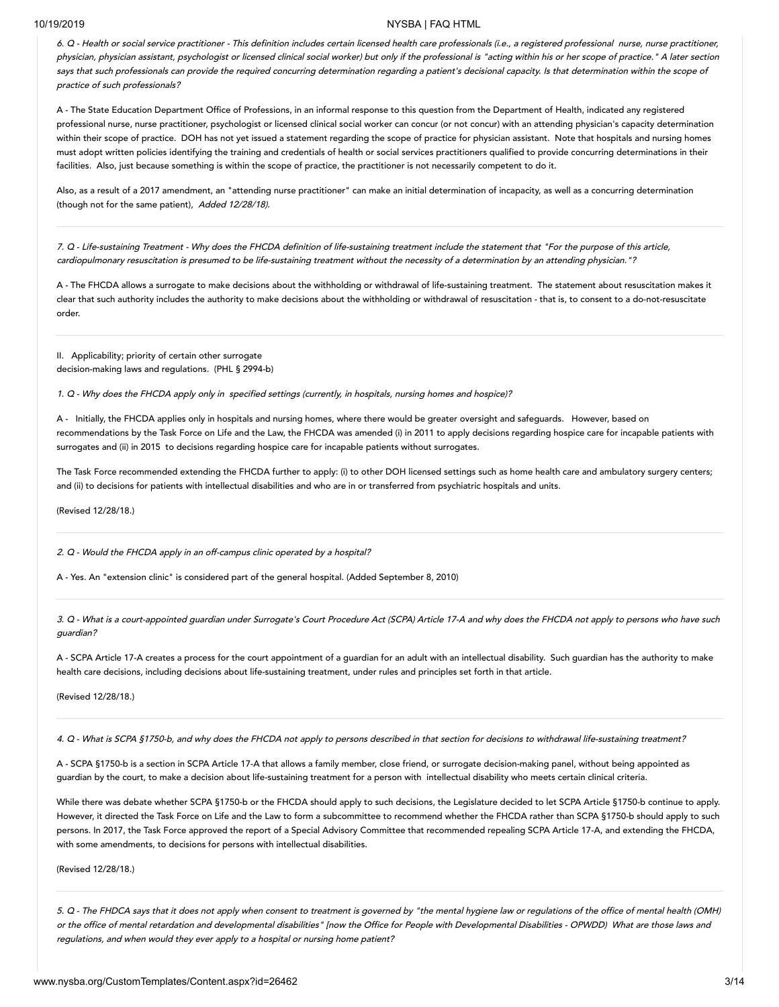6. <sup>Q</sup> -Health or social service practitioner - This definition includes certain licensed health care professionals (i.e., <sup>a</sup> registered professional nurse, nurse practitioner, physician, physician assistant, psychologist or licensed clinical social worker) but only if the professional is "acting within his or her scope of practice." <sup>A</sup> later section says that such professionals can provide the required concurring determination regarding a patient's decisional capacity. Is that determination within the scope of practice of such professionals?

A - The State Education Department Office of Professions, in an informal response to this question from the Department of Health, indicated any registered professional nurse, nurse practitioner, psychologist or licensed clinical social worker can concur (or not concur) with an attending physician's capacity determination within their scope of practice. DOH has not yet issued a statement regarding the scope of practice for physician assistant. Note that hospitals and nursing homes must adopt written policies identifying the training and credentials of health or social services practitioners qualified to provide concurring determinations in their facilities. Also, just because something is within the scope of practice, the practitioner is not necessarily competent to do it.

Also, as a result of a 2017 amendment, an "attending nurse practitioner" can make an initial determination of incapacity, as well as a concurring determination (though not for the same patient), Added 12/28/18).

7. <sup>Q</sup> -Life-sustaining Treatment - Why does the FHCDA definition of life-sustaining treatment include the statement that "For the purpose of this article, cardiopulmonary resuscitation is presumed to be life-sustaining treatment without the necessity of <sup>a</sup> determination by an attending physician."?

A - The FHCDA allows a surrogate to make decisions about the withholding or withdrawal of life-sustaining treatment. The statement about resuscitation makes it clear that such authority includes the authority to make decisions about the withholding or withdrawal of resuscitation - that is, to consent to a do-not-resuscitate order.

<span id="page-2-0"></span>II. Applicability; priority of certain other surrogate decision-making laws and regulations. (PHL § 2994-b)

1. <sup>Q</sup> -Why does the FHCDA apply only in specified settings (currently, in hospitals, nursing homes and hospice)?

A - Initially, the FHCDA applies only in hospitals and nursing homes, where there would be greater oversight and safeguards. However, based on recommendations by the Task Force on Life and the Law, the FHCDA was amended (i) in 2011 to apply decisions regarding hospice care for incapable patients with surrogates and (ii) in 2015 to decisions regarding hospice care for incapable patients without surrogates.

The Task Force recommended extending the FHCDA further to apply: (i) to other DOH licensed settings such as home health care and ambulatory surgery centers; and (ii) to decisions for patients with intellectual disabilities and who are in or transferred from psychiatric hospitals and units.

(Revised 12/28/18.)

2. <sup>Q</sup> -Would the FHCDA apply in an off-campus clinic operated by a hospital?

A - Yes. An "extension clinic" is considered part of the general hospital. (Added September 8, 2010)

3. Q -What is <sup>a</sup> court-appointed guardian under Surrogate's Court Procedure Act (SCPA) Article 17-A and why does the FHCDA not apply to persons who have such guardian?

A - SCPA Article 17-A creates a process for the court appointment of a guardian for an adult with an intellectual disability. Such guardian has the authority to make health care decisions, including decisions about life-sustaining treatment, under rules and principles set forth in that article.

(Revised 12/28/18.)

4. <sup>Q</sup> -What is SCPA §1750-b, and why does the FHCDA not apply to persons described in that section for decisions to withdrawal life-sustaining treatment?

A - SCPA §1750-b is a section in SCPA Article 17-A that allows a family member, close friend, or surrogate decision-making panel, without being appointed as guardian by the court, to make a decision about life-sustaining treatment for a person with intellectual disability who meets certain clinical criteria.

While there was debate whether SCPA §1750-b or the FHCDA should apply to such decisions, the Legislature decided to let SCPA Article §1750-b continue to apply. However, it directed the Task Force on Life and the Law to form a subcommittee to recommend whether the FHCDA rather than SCPA §1750-b should apply to such persons. In 2017, the Task Force approved the report of a Special Advisory Committee that recommended repealing SCPA Article 17-A, and extending the FHCDA, with some amendments, to decisions for persons with intellectual disabilities.

(Revised 12/28/18.)

5. <sup>Q</sup> -The FHDCA says that it does not apply when consent to treatment is governed by "the mental hygiene law or regulations of the office of mental health (OMH) or the office of mental retardation and developmental disabilities" [now the Office for People with Developmental Disabilities - OPWDD) What are those laws and regulations, and when would they ever apply to <sup>a</sup> hospital or nursing home patient?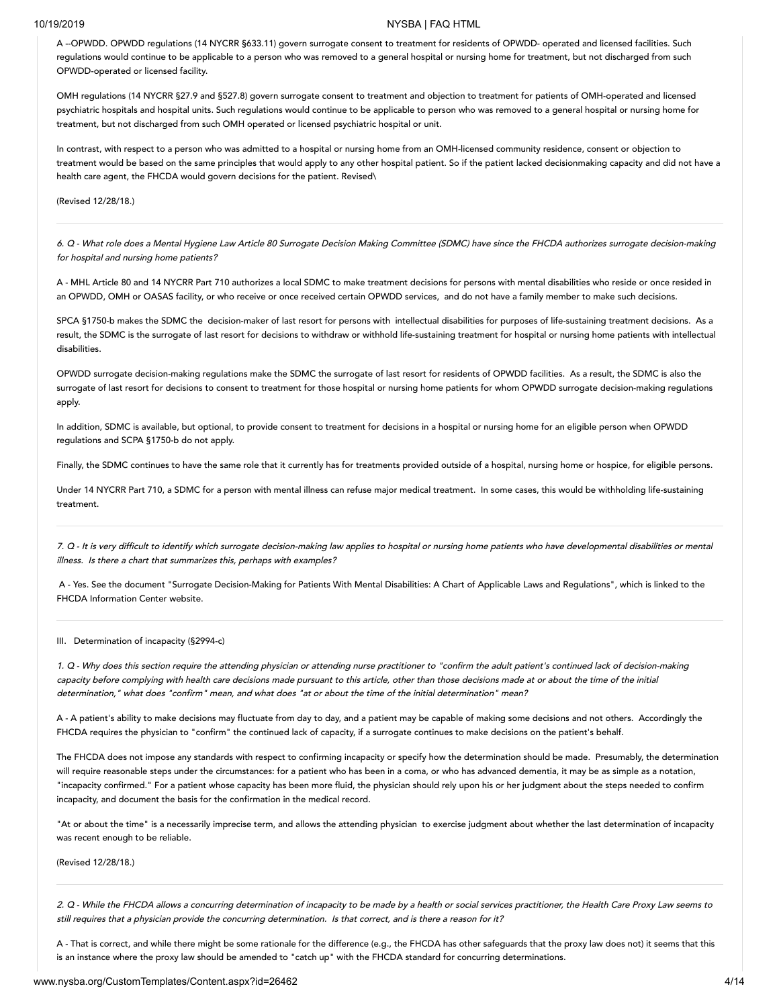A --OPWDD. OPWDD regulations (14 NYCRR §633.11) govern surrogate consent to treatment for residents of OPWDD- operated and licensed facilities. Such regulations would continue to be applicable to a person who was removed to a general hospital or nursing home for treatment, but not discharged from such OPWDD-operated or licensed facility.

OMH regulations (14 NYCRR §27.9 and §527.8) govern surrogate consent to treatment and objection to treatment for patients of OMH-operated and licensed psychiatric hospitals and hospital units. Such regulations would continue to be applicable to person who was removed to a general hospital or nursing home for treatment, but not discharged from such OMH operated or licensed psychiatric hospital or unit.

In contrast, with respect to a person who was admitted to a hospital or nursing home from an OMH-licensed community residence, consent or objection to treatment would be based on the same principles that would apply to any other hospital patient. So if the patient lacked decisionmaking capacity and did not have a health care agent, the FHCDA would govern decisions for the patient. Revised\

(Revised 12/28/18.)

6. Q -What role does <sup>a</sup> Mental Hygiene Law Article 80 Surrogate Decision Making Committee (SDMC) have since the FHCDA authorizes surrogate decision-making for hospital and nursing home patients?

A - MHL Article 80 and 14 NYCRR Part 710 authorizes a local SDMC to make treatment decisions for persons with mental disabilities who reside or once resided in an OPWDD, OMH or OASAS facility, or who receive or once received certain OPWDD services, and do not have a family member to make such decisions.

SPCA §1750-b makes the SDMC the decision-maker of last resort for persons with intellectual disabilities for purposes of life-sustaining treatment decisions. As a result, the SDMC is the surrogate of last resort for decisions to withdraw or withhold life-sustaining treatment for hospital or nursing home patients with intellectual disabilities.

OPWDD surrogate decision-making regulations make the SDMC the surrogate of last resort for residents of OPWDD facilities. As a result, the SDMC is also the surrogate of last resort for decisions to consent to treatment for those hospital or nursing home patients for whom OPWDD surrogate decision-making regulations apply.

In addition, SDMC is available, but optional, to provide consent to treatment for decisions in a hospital or nursing home for an eligible person when OPWDD regulations and SCPA §1750-b do not apply.

Finally, the SDMC continues to have the same role that it currently has for treatments provided outside of a hospital, nursing home or hospice, for eligible persons.

Under 14 NYCRR Part 710, a SDMC for a person with mental illness can refuse major medical treatment. In some cases, this would be withholding life-sustaining treatment.

7. <sup>Q</sup> -It is very difficult to identify which surrogate decision-making law applies to hospital or nursing home patients who have developmental disabilities or mental illness. Is there <sup>a</sup> chart that summarizes this, perhaps with examples?

A - Yes. See the document "Surrogate Decision-Making for Patients With Mental Disabilities: A Chart of Applicable Laws and Regulations", which is linked to the FHCDA Information Center website.

### <span id="page-3-0"></span>III. Determination of incapacity (§2994-c)

1. <sup>Q</sup> -Why does this section require the attending physician or attending nurse practitioner to "confirm the adult patient's continued lack of decision-making capacity before complying with health care decisions made pursuant to this article, other than those decisions made at or about the time of the initial determination," what does "confirm" mean, and what does "at or about the time of the initial determination" mean?

A - A patient's ability to make decisions may fluctuate from day to day, and a patient may be capable of making some decisions and not others. Accordingly the FHCDA requires the physician to "confirm" the continued lack of capacity, if a surrogate continues to make decisions on the patient's behalf.

The FHCDA does not impose any standards with respect to confirming incapacity or specify how the determination should be made. Presumably, the determination will require reasonable steps under the circumstances: for a patient who has been in a coma, or who has advanced dementia, it may be as simple as a notation, "incapacity confirmed." For a patient whose capacity has been more fluid, the physician should rely upon his or her judgment about the steps needed to confirm incapacity, and document the basis for the confirmation in the medical record.

"At or about the time" is a necessarily imprecise term, and allows the attending physician to exercise judgment about whether the last determination of incapacity was recent enough to be reliable.

(Revised 12/28/18.)

2. <sup>Q</sup> -While the FHCDA allows <sup>a</sup> concurring determination of incapacity to be made by a health or social services practitioner, the Health Care Proxy Law seems to still requires that <sup>a</sup> physician provide the concurring determination. Is that correct, and is there <sup>a</sup> reason for it?

A - That is correct, and while there might be some rationale for the difference (e.g., the FHCDA has other safeguards that the proxy law does not) it seems that this is an instance where the proxy law should be amended to "catch up" with the FHCDA standard for concurring determinations.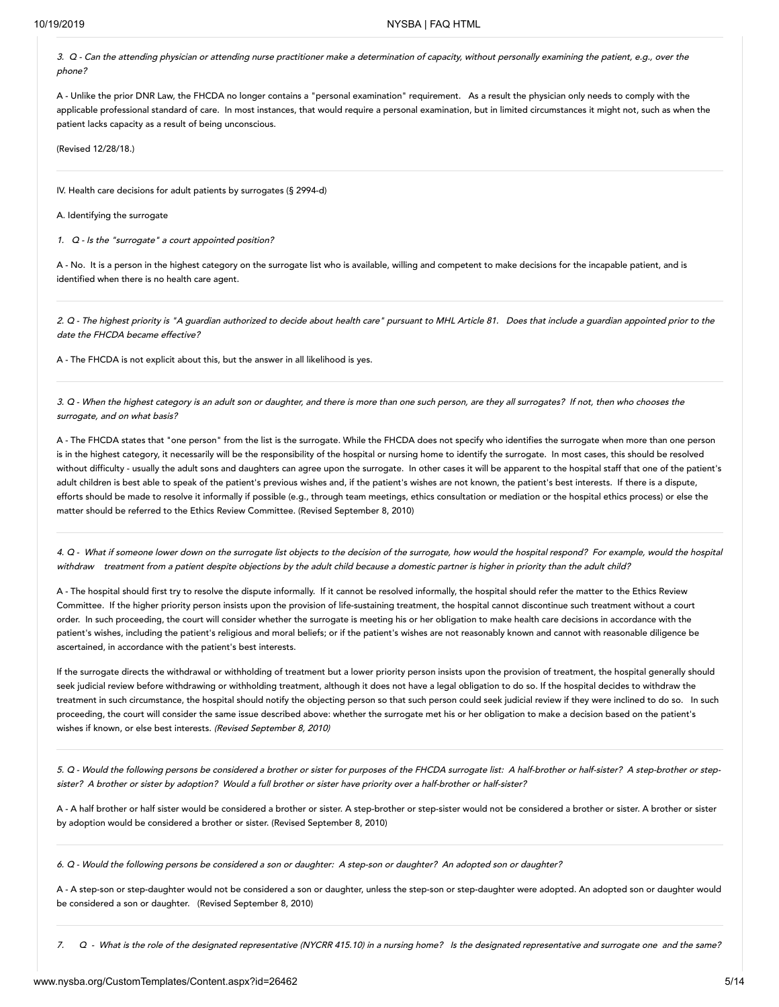3. <sup>Q</sup> -Can the attending physician or attending nurse practitioner make <sup>a</sup> determination of capacity, without personally examining the patient, e.g., over the phone?

A - Unlike the prior DNR Law, the FHCDA no longer contains a "personal examination" requirement. As a result the physician only needs to comply with the applicable professional standard of care. In most instances, that would require a personal examination, but in limited circumstances it might not, such as when the patient lacks capacity as a result of being unconscious.

(Revised 12/28/18.)

<span id="page-4-0"></span>IV. Health care decisions for adult patients by surrogates (§ 2994-d)

<span id="page-4-1"></span>A. Identifying the surrogate

1. Q -Is the "surrogate" <sup>a</sup> court appointed position?

A - No. It is a person in the highest category on the surrogate list who is available, willing and competent to make decisions for the incapable patient, and is identified when there is no health care agent.

2. Q -The highest priority is "A guardian authorized to decide about health care" pursuant to MHL Article 81. Does that include <sup>a</sup> guardian appointed prior to the date the FHCDA became effective?

A - The FHCDA is not explicit about this, but the answer in all likelihood is yes.

3. <sup>Q</sup> -When the highest category is an adult son or daughter, and there is more than one such person, are they all surrogates? If not, then who chooses the surrogate, and on what basis?

A - The FHCDA states that "one person" from the list is the surrogate. While the FHCDA does not specify who identifies the surrogate when more than one person is in the highest category, it necessarily will be the responsibility of the hospital or nursing home to identify the surrogate. In most cases, this should be resolved without difficulty - usually the adult sons and daughters can agree upon the surrogate. In other cases it will be apparent to the hospital staff that one of the patient's adult children is best able to speak of the patient's previous wishes and, if the patient's wishes are not known, the patient's best interests. If there is a dispute, efforts should be made to resolve it informally if possible (e.g., through team meetings, ethics consultation or mediation or the hospital ethics process) or else the matter should be referred to the Ethics Review Committee. (Revised September 8, 2010)

4. <sup>Q</sup> -What if someone lower down on the surrogate list objects to the decision of the surrogate, how would the hospital respond? For example, would the hospital withdraw treatment from a patient despite objections by the adult child because a domestic partner is higher in priority than the adult child?

A - The hospital should first try to resolve the dispute informally. If it cannot be resolved informally, the hospital should refer the matter to the Ethics Review Committee. If the higher priority person insists upon the provision of life-sustaining treatment, the hospital cannot discontinue such treatment without a court order. In such proceeding, the court will consider whether the surrogate is meeting his or her obligation to make health care decisions in accordance with the patient's wishes, including the patient's religious and moral beliefs; or if the patient's wishes are not reasonably known and cannot with reasonable diligence be ascertained, in accordance with the patient's best interests.

If the surrogate directs the withdrawal or withholding of treatment but a lower priority person insists upon the provision of treatment, the hospital generally should seek judicial review before withdrawing or withholding treatment, although it does not have a legal obligation to do so. If the hospital decides to withdraw the treatment in such circumstance, the hospital should notify the objecting person so that such person could seek judicial review if they were inclined to do so. In such proceeding, the court will consider the same issue described above: whether the surrogate met his or her obligation to make a decision based on the patient's wishes if known, or else best interests. (Revised September 8, 2010)

5. <sup>Q</sup> -Would the following persons be considered <sup>a</sup> brother or sister for purposes of the FHCDA surrogate list: <sup>A</sup> half-brother or half-sister? <sup>A</sup> step-brother or stepsister? <sup>A</sup> brother or sister by adoption? Would <sup>a</sup> full brother or sister have priority over <sup>a</sup> half-brother or half-sister?

A - A half brother or half sister would be considered a brother or sister. A step-brother or step-sister would not be considered a brother or sister. A brother or sister by adoption would be considered a brother or sister. (Revised September 8, 2010)

6. <sup>Q</sup> -Would the following persons be considered <sup>a</sup> son or daughter: <sup>A</sup> step-son or daughter? An adopted son or daughter?

A - A step-son or step-daughter would not be considered a son or daughter, unless the step-son or step-daughter were adopted. An adopted son or daughter would be considered a son or daughter. (Revised September 8, 2010)

7. <sup>Q</sup> - What is the role of the designated representative (NYCRR 415.10) in <sup>a</sup> nursing home? Is the designated representative and surrogate one and the same?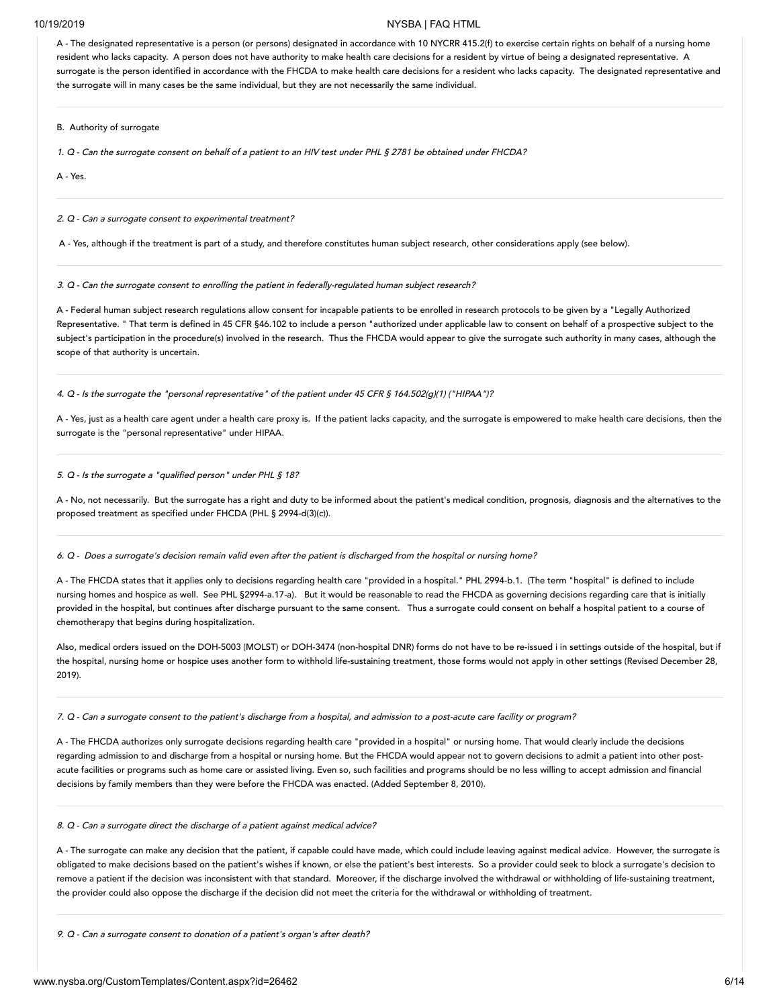A - The designated representative is a person (or persons) designated in accordance with 10 NYCRR 415.2(f) to exercise certain rights on behalf of a nursing home resident who lacks capacity. A person does not have authority to make health care decisions for a resident by virtue of being a designated representative. A surrogate is the person identified in accordance with the FHCDA to make health care decisions for a resident who lacks capacity. The designated representative and the surrogate will in many cases be the same individual, but they are not necessarily the same individual.

<span id="page-5-0"></span>B. Authority of surrogate

1. <sup>Q</sup> -Can the surrogate consent on behalf of <sup>a</sup> patient to an HIV test under PHL § 2781 be obtained under FHCDA?

A - Yes.

2. Q -Can <sup>a</sup> surrogate consent to experimental treatment?

A - Yes, although if the treatment is part of a study, and therefore constitutes human subject research, other considerations apply (see below).

3. <sup>Q</sup> -Can the surrogate consent to enrolling the patient in federally-regulated human subject research?

A - Federal human subject research regulations allow consent for incapable patients to be enrolled in research protocols to be given by a "Legally Authorized Representative. " That term is defined in 45 CFR §46.102 to include a person "authorized under applicable law to consent on behalf of a prospective subject to the subject's participation in the procedure(s) involved in the research. Thus the FHCDA would appear to give the surrogate such authority in many cases, although the scope of that authority is uncertain.

4. <sup>Q</sup> -Is the surrogate the "personal representative" of the patient under <sup>45</sup> CFR § 164.502(g)(1) ("HIPAA")?

A - Yes, just as a health care agent under a health care proxy is. If the patient lacks capacity, and the surrogate is empowered to make health care decisions, then the surrogate is the "personal representative" under HIPAA.

5. <sup>Q</sup> -Is the surrogate <sup>a</sup> "qualified person" under PHL § 18?

A - No, not necessarily. But the surrogate has a right and duty to be informed about the patient's medical condition, prognosis, diagnosis and the alternatives to the proposed treatment as specified under FHCDA (PHL § 2994-d(3)(c)).

6. <sup>Q</sup> -Does <sup>a</sup> surrogate's decision remain valid even after the patient is discharged from the hospital or nursing home?

A - The FHCDA states that it applies only to decisions regarding health care "provided in a hospital." PHL 2994-b.1. (The term "hospital" is defined to include nursing homes and hospice as well. See PHL §2994-a.17-a). But it would be reasonable to read the FHCDA as governing decisions regarding care that is initially provided in the hospital, but continues after discharge pursuant to the same consent. Thus a surrogate could consent on behalf a hospital patient to a course of chemotherapy that begins during hospitalization.

Also, medical orders issued on the DOH-5003 (MOLST) or DOH-3474 (non-hospital DNR) forms do not have to be re-issued i in settings outside of the hospital, but if the hospital, nursing home or hospice uses another form to withhold life-sustaining treatment, those forms would not apply in other settings (Revised December 28, 2019).

7. <sup>Q</sup> -Can <sup>a</sup> surrogate consent to the patient's discharge from <sup>a</sup> hospital, and admission to <sup>a</sup> post-acute care facility or program?

A - The FHCDA authorizes only surrogate decisions regarding health care "provided in a hospital" or nursing home. That would clearly include the decisions regarding admission to and discharge from a hospital or nursing home. But the FHCDA would appear not to govern decisions to admit a patient into other postacute facilities or programs such as home care or assisted living. Even so, such facilities and programs should be no less willing to accept admission and financial decisions by family members than they were before the FHCDA was enacted. (Added September 8, 2010).

8. <sup>Q</sup> -Can <sup>a</sup> surrogate direct the discharge of <sup>a</sup> patient against medical advice?

A - The surrogate can make any decision that the patient, if capable could have made, which could include leaving against medical advice. However, the surrogate is obligated to make decisions based on the patient's wishes if known, or else the patient's best interests. So a provider could seek to block a surrogate's decision to remove a patient if the decision was inconsistent with that standard. Moreover, if the discharge involved the withdrawal or withholding of life-sustaining treatment, the provider could also oppose the discharge if the decision did not meet the criteria for the withdrawal or withholding of treatment.

9. <sup>Q</sup> -Can <sup>a</sup> surrogate consent to donation of <sup>a</sup> patient's organ's after death?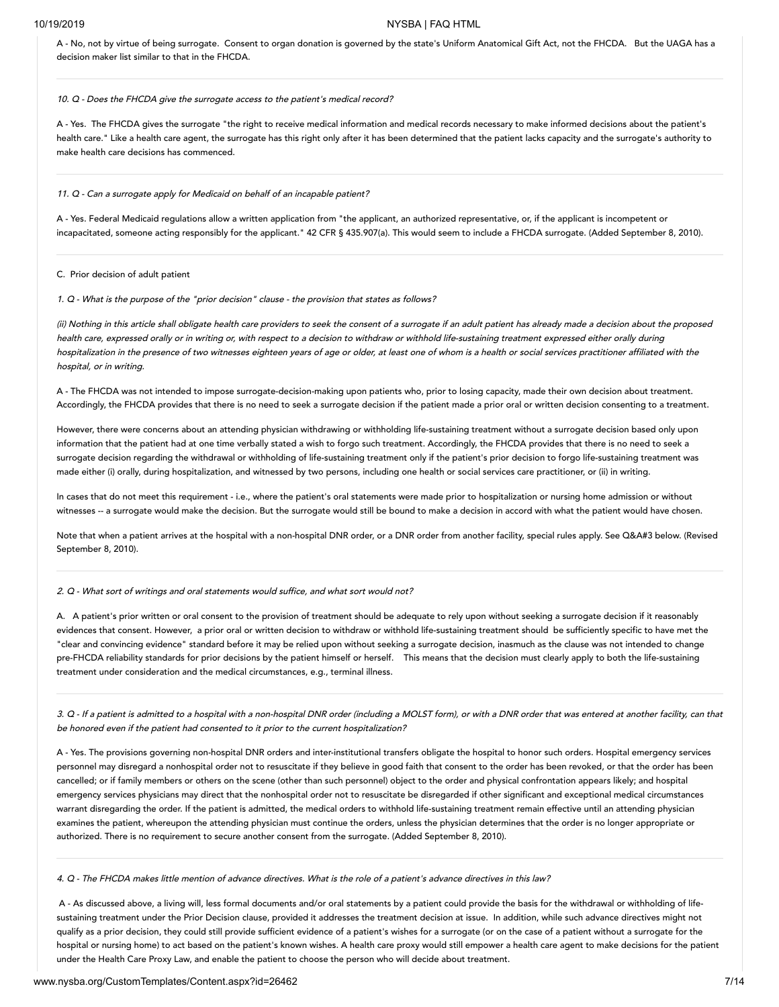A - No, not by virtue of being surrogate. Consent to organ donation is governed by the state's Uniform Anatomical Gift Act, not the FHCDA. But the UAGA has a decision maker list similar to that in the FHCDA.

### 10. Q -Does the FHCDA give the surrogate access to the patient's medical record?

A - Yes. The FHCDA gives the surrogate "the right to receive medical information and medical records necessary to make informed decisions about the patient's health care." Like a health care agent, the surrogate has this right only after it has been determined that the patient lacks capacity and the surrogate's authority to make health care decisions has commenced.

### 11. <sup>Q</sup> -Can <sup>a</sup> surrogate apply for Medicaid on behalf of an incapable patient?

A - Yes. Federal Medicaid regulations allow a written application from "the applicant, an authorized representative, or, if the applicant is incompetent or incapacitated, someone acting responsibly for the applicant." 42 CFR § 435.907(a). This would seem to include a FHCDA surrogate. (Added September 8, 2010).

### <span id="page-6-0"></span>C. Prior decision of adult patient

1. <sup>Q</sup> -What is the purpose of the "prior decision" clause - the provision that states as follows?

(ii) Nothing in this article shall obligate health care providers to seek the consent of <sup>a</sup> surrogate if an adult patient has already made <sup>a</sup> decision about the proposed health care, expressed orally or in writing or, with respect to <sup>a</sup> decision to withdraw or withhold life-sustaining treatment expressed either orally during hospitalization in the presence of two witnesses eighteen years of age or older, at least one of whom is <sup>a</sup> health or social services practitioner affiliated with the hospital, or in writing.

A - The FHCDA was not intended to impose surrogate-decision-making upon patients who, prior to losing capacity, made their own decision about treatment. Accordingly, the FHCDA provides that there is no need to seek a surrogate decision if the patient made a prior oral or written decision consenting to a treatment.

However, there were concerns about an attending physician withdrawing or withholding life-sustaining treatment without a surrogate decision based only upon information that the patient had at one time verbally stated a wish to forgo such treatment. Accordingly, the FHCDA provides that there is no need to seek a surrogate decision regarding the withdrawal or withholding of life-sustaining treatment only if the patient's prior decision to forgo life-sustaining treatment was made either (i) orally, during hospitalization, and witnessed by two persons, including one health or social services care practitioner, or (ii) in writing.

In cases that do not meet this requirement - i.e., where the patient's oral statements were made prior to hospitalization or nursing home admission or without witnesses -- a surrogate would make the decision. But the surrogate would still be bound to make a decision in accord with what the patient would have chosen.

Note that when a patient arrives at the hospital with a non-hospital DNR order, or a DNR order from another facility, special rules apply. See Q&A#3 below. (Revised September 8, 2010).

### 2. Q -What sort of writings and oral statements would suffice, and what sort would not?

A. A patient's prior written or oral consent to the provision of treatment should be adequate to rely upon without seeking a surrogate decision if it reasonably evidences that consent. However, a prior oral or written decision to withdraw or withhold life-sustaining treatment should be sufficiently specific to have met the "clear and convincing evidence" standard before it may be relied upon without seeking a surrogate decision, inasmuch as the clause was not intended to change pre-FHCDA reliability standards for prior decisions by the patient himself or herself. This means that the decision must clearly apply to both the life-sustaining treatment under consideration and the medical circumstances, e.g., terminal illness.

3. <sup>Q</sup> -If <sup>a</sup> patient is admitted to <sup>a</sup> hospital with <sup>a</sup> non-hospital DNR order (including <sup>a</sup> MOLST form), or with <sup>a</sup> DNR order that was entered at another facility, can that be honored even if the patient had consented to it prior to the current hospitalization?

A - Yes. The provisions governing non-hospital DNR orders and inter-institutional transfers obligate the hospital to honor such orders. Hospital emergency services personnel may disregard a nonhospital order not to resuscitate if they believe in good faith that consent to the order has been revoked, or that the order has been cancelled; or if family members or others on the scene (other than such personnel) object to the order and physical confrontation appears likely; and hospital emergency services physicians may direct that the nonhospital order not to resuscitate be disregarded if other significant and exceptional medical circumstances warrant disregarding the order. If the patient is admitted, the medical orders to withhold life-sustaining treatment remain effective until an attending physician examines the patient, whereupon the attending physician must continue the orders, unless the physician determines that the order is no longer appropriate or authorized. There is no requirement to secure another consent from the surrogate. (Added September 8, 2010).

4. <sup>Q</sup> -The FHCDA makes little mention of advance directives. What is the role of <sup>a</sup> patient's advance directives in this law?

A - As discussed above, a living will, less formal documents and/or oral statements by a patient could provide the basis for the withdrawal or withholding of lifesustaining treatment under the Prior Decision clause, provided it addresses the treatment decision at issue. In addition, while such advance directives might not qualify as a prior decision, they could still provide sufficient evidence of a patient's wishes for a surrogate (or on the case of a patient without a surrogate for the hospital or nursing home) to act based on the patient's known wishes. A health care proxy would still empower a health care agent to make decisions for the patient under the Health Care Proxy Law, and enable the patient to choose the person who will decide about treatment.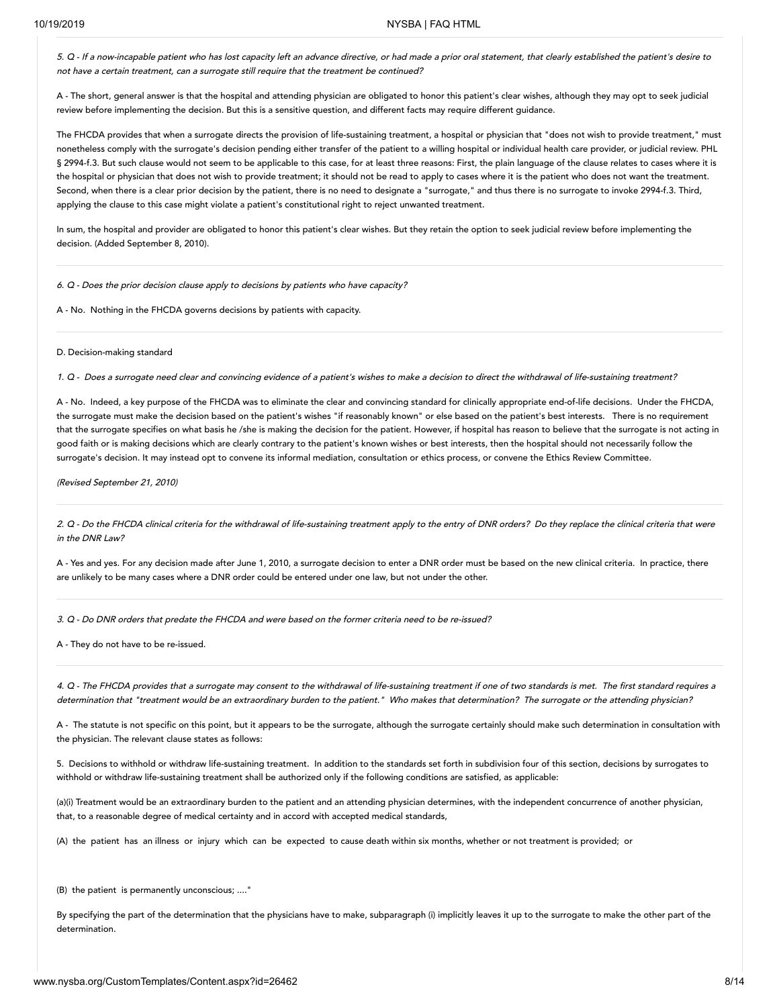5. <sup>Q</sup> -If <sup>a</sup> now-incapable patient who has lost capacity left an advance directive, or had made <sup>a</sup> prior oral statement, that clearly established the patient's desire to not have <sup>a</sup> certain treatment, can <sup>a</sup> surrogate still require that the treatment be continued?

A - The short, general answer is that the hospital and attending physician are obligated to honor this patient's clear wishes, although they may opt to seek judicial review before implementing the decision. But this is a sensitive question, and different facts may require different guidance.

The FHCDA provides that when a surrogate directs the provision of life-sustaining treatment, a hospital or physician that "does not wish to provide treatment," must nonetheless comply with the surrogate's decision pending either transfer of the patient to a willing hospital or individual health care provider, or judicial review. PHL § 2994-f.3. But such clause would not seem to be applicable to this case, for at least three reasons: First, the plain language of the clause relates to cases where it is the hospital or physician that does not wish to provide treatment; it should not be read to apply to cases where it is the patient who does not want the treatment. Second, when there is a clear prior decision by the patient, there is no need to designate a "surrogate," and thus there is no surrogate to invoke 2994-f.3. Third, applying the clause to this case might violate a patient's constitutional right to reject unwanted treatment.

In sum, the hospital and provider are obligated to honor this patient's clear wishes. But they retain the option to seek judicial review before implementing the decision. (Added September 8, 2010).

6. Q -Does the prior decision clause apply to decisions by patients who have capacity?

A - No. Nothing in the FHCDA governs decisions by patients with capacity.

<span id="page-7-0"></span>D. Decision-making standard

1. <sup>Q</sup> -Does <sup>a</sup> surrogate need clear and convincing evidence of <sup>a</sup> patient's wishes to make <sup>a</sup> decision to direct the withdrawal of life-sustaining treatment?

A - No. Indeed, a key purpose of the FHCDA was to eliminate the clear and convincing standard for clinically appropriate end-of-life decisions. Under the FHCDA, the surrogate must make the decision based on the patient's wishes "if reasonably known" or else based on the patient's best interests. There is no requirement that the surrogate specifies on what basis he /she is making the decision for the patient. However, if hospital has reason to believe that the surrogate is not acting in good faith or is making decisions which are clearly contrary to the patient's known wishes or best interests, then the hospital should not necessarily follow the surrogate's decision. It may instead opt to convene its informal mediation, consultation or ethics process, or convene the Ethics Review Committee.

(Revised September 21, 2010)

2. <sup>Q</sup> -Do the FHCDA clinical criteria for the withdrawal of life-sustaining treatment apply to the entry of DNR orders? Do they replace the clinical criteria that were in the DNR Law?

A - Yes and yes. For any decision made after June 1, 2010, a surrogate decision to enter a DNR order must be based on the new clinical criteria. In practice, there are unlikely to be many cases where a DNR order could be entered under one law, but not under the other.

3. <sup>Q</sup> -Do DNR orders that predate the FHCDA and were based on the former criteria need to be re-issued?

A - They do not have to be re-issued.

4. <sup>Q</sup> -The FHCDA provides that <sup>a</sup> surrogate may consent to the withdrawal of life-sustaining treatment if one of two standards is met. The first standard requires <sup>a</sup> determination that "treatment would be an extraordinary burden to the patient." Who makes that determination? The surrogate or the attending physician?

A - The statute is not specific on this point, but it appears to be the surrogate, although the surrogate certainly should make such determination in consultation with the physician. The relevant clause states as follows:

5. Decisions to withhold or withdraw life-sustaining treatment. In addition to the standards set forth in subdivision four of this section, decisions by surrogates to withhold or withdraw life-sustaining treatment shall be authorized only if the following conditions are satisfied, as applicable:

(a)(i) Treatment would be an extraordinary burden to the patient and an attending physician determines, with the independent concurrence of another physician, that, to a reasonable degree of medical certainty and in accord with accepted medical standards,

(A) the patient has an illness or injury which can be expected to cause death within six months, whether or not treatment is provided; or

(B) the patient is permanently unconscious; ....'

By specifying the part of the determination that the physicians have to make, subparagraph (i) implicitly leaves it up to the surrogate to make the other part of the determination.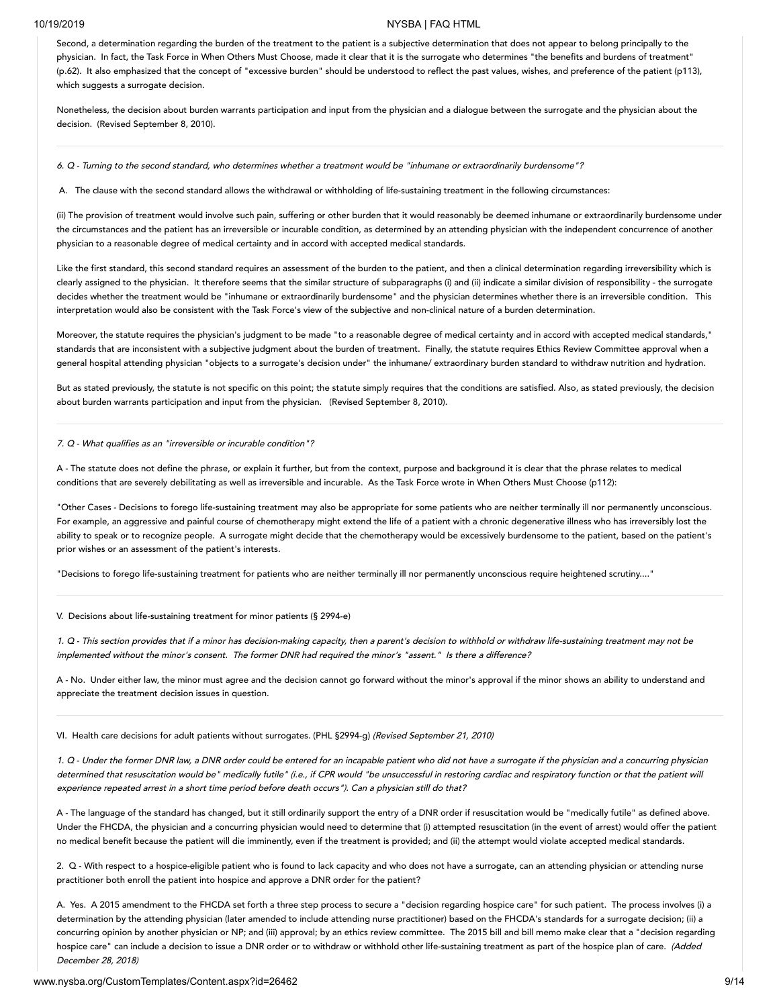Second, a determination regarding the burden of the treatment to the patient is a subjective determination that does not appear to belong principally to the physician. In fact, the Task Force in When Others Must Choose, made it clear that it is the surrogate who determines "the benefits and burdens of treatment" (p.62). It also emphasized that the concept of "excessive burden" should be understood to reflect the past values, wishes, and preference of the patient (p113), which suggests a surrogate decision.

Nonetheless, the decision about burden warrants participation and input from the physician and a dialogue between the surrogate and the physician about the decision. (Revised September 8, 2010).

6. Q -Turning to the second standard, who determines whether <sup>a</sup> treatment would be "inhumane or extraordinarily burdensome"?

A. The clause with the second standard allows the withdrawal or withholding of life-sustaining treatment in the following circumstances:

(ii) The provision of treatment would involve such pain, suffering or other burden that it would reasonably be deemed inhumane or extraordinarily burdensome under the circumstances and the patient has an irreversible or incurable condition, as determined by an attending physician with the independent concurrence of another physician to a reasonable degree of medical certainty and in accord with accepted medical standards.

Like the first standard, this second standard requires an assessment of the burden to the patient, and then a clinical determination regarding irreversibility which is clearly assigned to the physician. It therefore seems that the similar structure of subparagraphs (i) and (ii) indicate a similar division of responsibility - the surrogate decides whether the treatment would be "inhumane or extraordinarily burdensome" and the physician determines whether there is an irreversible condition. This interpretation would also be consistent with the Task Force's view of the subjective and non-clinical nature of a burden determination.

Moreover, the statute requires the physician's judgment to be made "to a reasonable degree of medical certainty and in accord with accepted medical standards," standards that are inconsistent with a subjective judgment about the burden of treatment. Finally, the statute requires Ethics Review Committee approval when a general hospital attending physician "objects to a surrogate's decision under" the inhumane/ extraordinary burden standard to withdraw nutrition and hydration.

But as stated previously, the statute is not specific on this point; the statute simply requires that the conditions are satisfied. Also, as stated previously, the decision about burden warrants participation and input from the physician. (Revised September 8, 2010).

### 7. Q -What qualifies as an "irreversible or incurable condition"?

A - The statute does not define the phrase, or explain it further, but from the context, purpose and background it is clear that the phrase relates to medical conditions that are severely debilitating as well as irreversible and incurable. As the Task Force wrote in When Others Must Choose (p112):

"Other Cases - Decisions to forego life-sustaining treatment may also be appropriate for some patients who are neither terminally ill nor permanently unconscious. For example, an aggressive and painful course of chemotherapy might extend the life of a patient with a chronic degenerative illness who has irreversibly lost the ability to speak or to recognize people. A surrogate might decide that the chemotherapy would be excessively burdensome to the patient, based on the patient's prior wishes or an assessment of the patient's interests.

"Decisions to forego life-sustaining treatment for patients who are neither terminally ill nor permanently unconscious require heightened scrutiny...."

<span id="page-8-0"></span>V. Decisions about life-sustaining treatment for minor patients (§ 2994-e)

1. <sup>Q</sup> -This section provides that if <sup>a</sup> minor has decision-making capacity, then <sup>a</sup> parent's decision to withhold or withdraw life-sustaining treatment may not be implemented without the minor's consent. The former DNR had required the minor's "assent." Is there <sup>a</sup> difference?

A - No. Under either law, the minor must agree and the decision cannot go forward without the minor's approval if the minor shows an ability to understand and appreciate the treatment decision issues in question.

<span id="page-8-1"></span>VI. Health care decisions for adult patients without surrogates. (PHL §2994-g) (Revised September 21, 2010)

1. <sup>Q</sup> -Under the former DNR law, <sup>a</sup> DNR order could be entered for an incapable patient who did not have <sup>a</sup> surrogate if the physician and <sup>a</sup> concurring physician determined that resuscitation would be" medically futile" (i.e., if CPR would "be unsuccessful in restoring cardiac and respiratory function or that the patient will experience repeated arrest in <sup>a</sup> short time period before death occurs"). Can <sup>a</sup> physician still do that?

A - The language of the standard has changed, but it still ordinarily support the entry of a DNR order if resuscitation would be "medically futile" as defined above. Under the FHCDA, the physician and a concurring physician would need to determine that (i) attempted resuscitation (in the event of arrest) would offer the patient no medical benefit because the patient will die imminently, even if the treatment is provided; and (ii) the attempt would violate accepted medical standards.

2. Q - With respect to a hospice-eligible patient who is found to lack capacity and who does not have a surrogate, can an attending physician or attending nurse practitioner both enroll the patient into hospice and approve a DNR order for the patient?

A. Yes. A 2015 amendment to the FHCDA set forth a three step process to secure a "decision regarding hospice care" for such patient. The process involves (i) a determination by the attending physician (later amended to include attending nurse practitioner) based on the FHCDA's standards for a surrogate decision; (ii) a concurring opinion by another physician or NP; and (iii) approval; by an ethics review committee. The 2015 bill and bill memo make clear that a "decision regarding hospice care" can include a decision to issue a DNR order or to withdraw or withhold other life-sustaining treatment as part of the hospice plan of care. (Added December 28, 2018)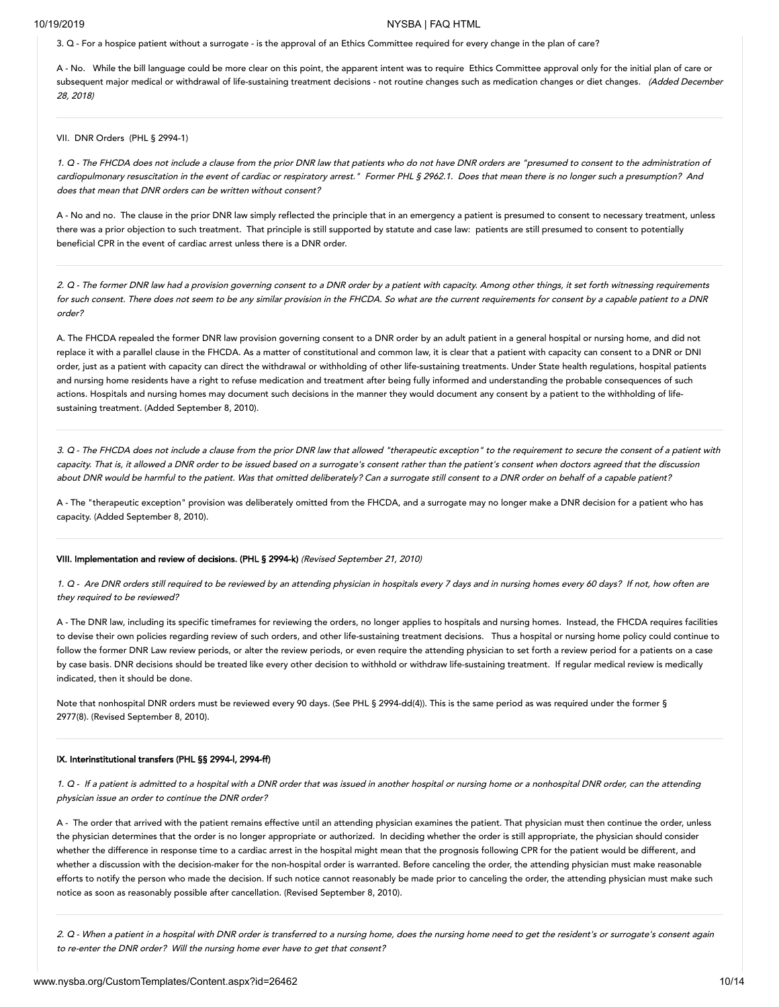3. Q -For a hospice patient without a surrogate - is the approval of an Ethics Committee required for every change in the plan of care?

A - No. While the bill language could be more clear on this point, the apparent intent was to require Ethics Committee approval only for the initial plan of care or subsequent major medical or withdrawal of life-sustaining treatment decisions - not routine changes such as medication changes or diet changes. (Added December 28, 2018)

### <span id="page-9-0"></span>VII. DNR Orders (PHL § 2994-1)

1. <sup>Q</sup> -The FHCDA does not include <sup>a</sup> clause from the prior DNR law that patients who do not have DNR orders are "presumed to consent to the administration of cardiopulmonary resuscitation in the event of cardiac or respiratory arrest." Former PHL § 2962.1. Does that mean there is no longer such <sup>a</sup> presumption? And does that mean that DNR orders can be written without consent?

A - No and no. The clause in the prior DNR law simply reflected the principle that in an emergency a patient is presumed to consent to necessary treatment, unless there was a prior objection to such treatment. That principle is still supported by statute and case law: patients are still presumed to consent to potentially beneficial CPR in the event of cardiac arrest unless there is a DNR order.

2. <sup>Q</sup> -The former DNR law had <sup>a</sup> provision governing consent to <sup>a</sup> DNR order by a patient with capacity. Among other things, it set forth witnessing requirements for such consent. There does not seem to be any similar provision in the FHCDA. So what are the current requirements for consent by a capable patient to a DNR order?

A. The FHCDA repealed the former DNR law provision governing consent to a DNR order by an adult patient in a general hospital or nursing home, and did not replace it with a parallel clause in the FHCDA. As a matter of constitutional and common law, it is clear that a patient with capacity can consent to a DNR or DNI order, just as a patient with capacity can direct the withdrawal or withholding of other life-sustaining treatments. Under State health regulations, hospital patients and nursing home residents have a right to refuse medication and treatment after being fully informed and understanding the probable consequences of such actions. Hospitals and nursing homes may document such decisions in the manner they would document any consent by a patient to the withholding of lifesustaining treatment. (Added September 8, 2010).

3. <sup>Q</sup> -The FHCDA does not include <sup>a</sup> clause from the prior DNR law that allowed "therapeutic exception" to the requirement to secure the consent of <sup>a</sup> patient with capacity. That is, it allowed <sup>a</sup> DNR order to be issued based on <sup>a</sup> surrogate's consent rather than the patient's consent when doctors agreed that the discussion about DNR would be harmful to the patient. Was that omitted deliberately? Can <sup>a</sup> surrogate still consent to <sup>a</sup> DNR order on behalf of <sup>a</sup> capable patient?

A - The "therapeutic exception" provision was deliberately omitted from the FHCDA, and a surrogate may no longer make a DNR decision for a patient who has capacity. (Added September 8, 2010).

### <span id="page-9-1"></span>VIII. Implementation and review of decisions. (PHL § 2994-k) (Revised September 21, 2010)

1. Q - Are DNR orders still required to be reviewed by an attending physician in hospitals every 7 days and in nursing homes every 60 days? If not, how often are they required to be reviewed?

A - The DNR law, including its specific timeframes for reviewing the orders, no longer applies to hospitals and nursing homes. Instead, the FHCDA requires facilities to devise their own policies regarding review of such orders, and other life-sustaining treatment decisions. Thus a hospital or nursing home policy could continue to follow the former DNR Law review periods, or alter the review periods, or even require the attending physician to set forth a review period for a patients on a case by case basis. DNR decisions should be treated like every other decision to withhold or withdraw life-sustaining treatment. If regular medical review is medically indicated, then it should be done.

Note that nonhospital DNR orders must be reviewed every 90 days. (See PHL § 2994-dd(4)). This is the same period as was required under the former § 2977(8). (Revised September 8, 2010).

### <span id="page-9-2"></span>IX. Interinstitutional transfers (PHL §§ 2994-l, 2994-ff)

1. Q - If a patient is admitted to a hospital with a DNR order that was issued in another hospital or nursing home or a nonhospital DNR order, can the attending physician issue an order to continue the DNR order?

A - The order that arrived with the patient remains effective until an attending physician examines the patient. That physician must then continue the order, unless the physician determines that the order is no longer appropriate or authorized. In deciding whether the order is still appropriate, the physician should consider whether the difference in response time to a cardiac arrest in the hospital might mean that the prognosis following CPR for the patient would be different, and whether a discussion with the decision-maker for the non-hospital order is warranted. Before canceling the order, the attending physician must make reasonable efforts to notify the person who made the decision. If such notice cannot reasonably be made prior to canceling the order, the attending physician must make such notice as soon as reasonably possible after cancellation. (Revised September 8, 2010).

2. <sup>Q</sup> -When <sup>a</sup> patient in <sup>a</sup> hospital with DNR order is transferred to <sup>a</sup> nursing home, does the nursing home need to get the resident's or surrogate's consent again to re-enter the DNR order? Will the nursing home ever have to get that consent?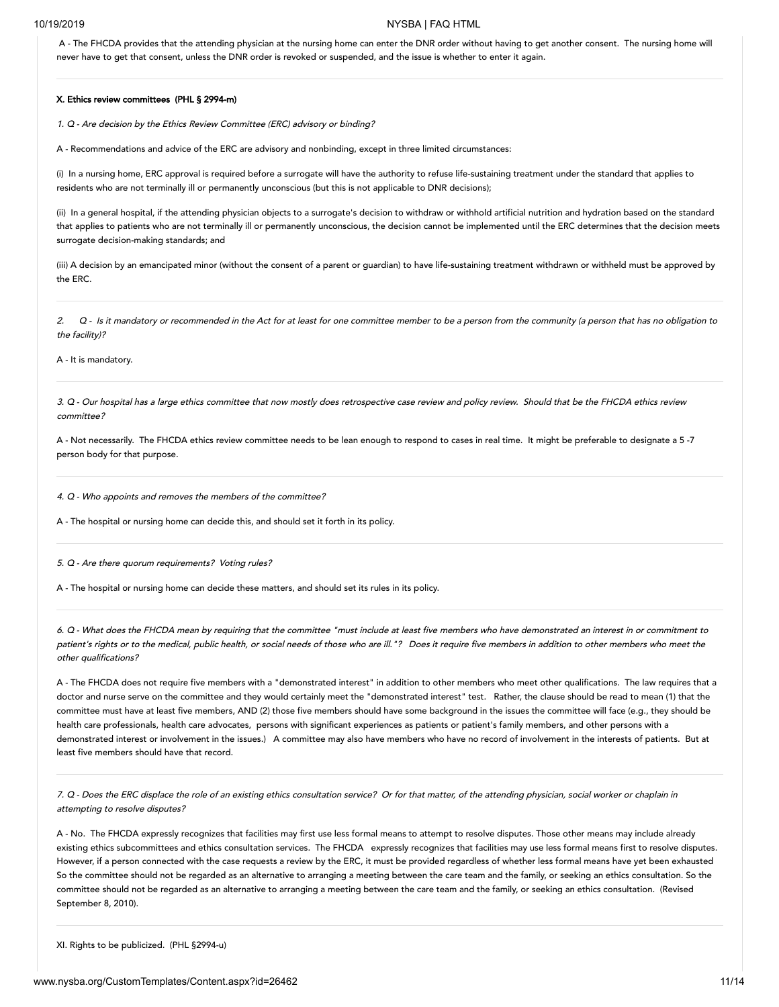A - The FHCDA provides that the attending physician at the nursing home can enter the DNR order without having to get another consent. The nursing home will never have to get that consent, unless the DNR order is revoked or suspended, and the issue is whether to enter it again.

### <span id="page-10-0"></span>X. Ethics review committees (PHL § 2994-m)

1. Q -Are decision by the Ethics Review Committee (ERC) advisory or binding?

A - Recommendations and advice of the ERC are advisory and nonbinding, except in three limited circumstances:

(i) In a nursing home, ERC approval is required before a surrogate will have the authority to refuse life-sustaining treatment under the standard that applies to residents who are not terminally ill or permanently unconscious (but this is not applicable to DNR decisions);

(ii) In a general hospital, if the attending physician objects to a surrogate's decision to withdraw or withhold artificial nutrition and hydration based on the standard that applies to patients who are not terminally ill or permanently unconscious, the decision cannot be implemented until the ERC determines that the decision meets surrogate decision-making standards; and

(iii) A decision by an emancipated minor (without the consent of a parent or guardian) to have life-sustaining treatment withdrawn or withheld must be approved by the ERC.

2. <sup>Q</sup> -Is it mandatory or recommended in the Act for at least for one committee member to be <sup>a</sup> person from the community (a person that has no obligation to the facility)?

A - It is mandatory.

3. Q -Our hospital has <sup>a</sup> large ethics committee that now mostly does retrospective case review and policy review. Should that be the FHCDA ethics review committee?

A - Not necessarily. The FHCDA ethics review committee needs to be lean enough to respond to cases in real time. It might be preferable to designate a 5 -7 person body for that purpose.

4. <sup>Q</sup> -Who appoints and removes the members of the committee?

A - The hospital or nursing home can decide this, and should set it forth in its policy.

5. Q -Are there quorum requirements? Voting rules?

A - The hospital or nursing home can decide these matters, and should set its rules in its policy.

6. Q -What does the FHCDA mean by requiring that the committee "must include at least five members who have demonstrated an interest in or commitment to patient's rights or to the medical, public health, or social needs of those who are ill."? Does it require five members in addition to other members who meet the other qualifications?

A - The FHCDA does not require five members with a "demonstrated interest" in addition to other members who meet other qualifications. The law requires that a doctor and nurse serve on the committee and they would certainly meet the "demonstrated interest" test. Rather, the clause should be read to mean (1) that the committee must have at least five members, AND (2) those five members should have some background in the issues the committee will face (e.g., they should be health care professionals, health care advocates, persons with significant experiences as patients or patient's family members, and other persons with a demonstrated interest or involvement in the issues.) A committee may also have members who have no record of involvement in the interests of patients. But at least five members should have that record.

7. <sup>Q</sup> -Does the ERC displace the role of an existing ethics consultation service? Or for that matter, of the attending physician, social worker or chaplain in attempting to resolve disputes?

A - No. The FHCDA expressly recognizes that facilities may first use less formal means to attempt to resolve disputes. Those other means may include already existing ethics subcommittees and ethics consultation services. The FHCDA expressly recognizes that facilities may use less formal means first to resolve disputes. However, if a person connected with the case requests a review by the ERC, it must be provided regardless of whether less formal means have yet been exhausted So the committee should not be regarded as an alternative to arranging a meeting between the care team and the family, or seeking an ethics consultation. So the committee should not be regarded as an alternative to arranging a meeting between the care team and the family, or seeking an ethics consultation. (Revised September 8, 2010).

<span id="page-10-1"></span>XI. Rights to be publicized. (PHL §2994-u)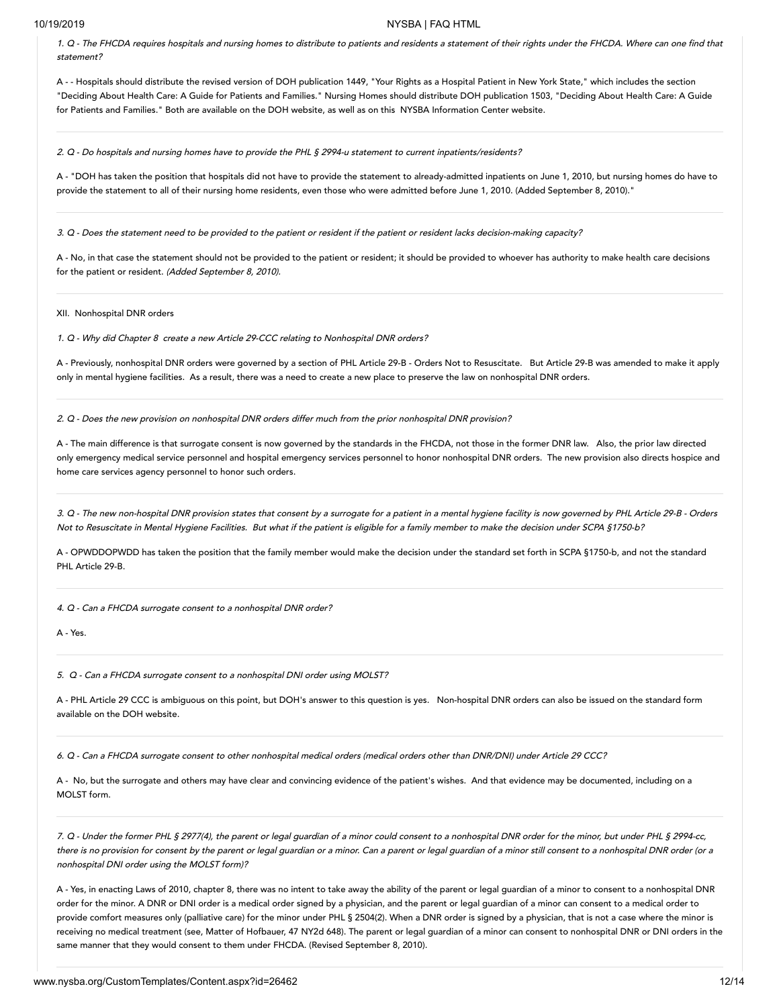1. <sup>Q</sup> -The FHCDA requires hospitals and nursing homes to distribute to patients and residents <sup>a</sup> statement of their rights under the FHCDA. Where can one find that statement?

A - - Hospitals should distribute the revised version of DOH publication 1449, "Your Rights as a Hospital Patient in New York State," which includes the section "Deciding About Health Care: A Guide for Patients and Families." Nursing Homes should distribute DOH publication 1503, "Deciding About Health Care: A Guide for Patients and Families." Both are available on the DOH website, as well as on this NYSBA Information Center website.

2. Q -Do hospitals and nursing homes have to provide the PHL § 2994-u statement to current inpatients/residents?

A - "DOH has taken the position that hospitals did not have to provide the statement to already-admitted inpatients on June 1, 2010, but nursing homes do have to provide the statement to all of their nursing home residents, even those who were admitted before June 1, 2010. (Added September 8, 2010)."

3. <sup>Q</sup> -Does the statement need to be provided to the patient or resident if the patient or resident lacks decision-making capacity?

A - No, in that case the statement should not be provided to the patient or resident; it should be provided to whoever has authority to make health care decisions for the patient or resident. (Added September 8, 2010).

<span id="page-11-0"></span>XII. Nonhospital DNR orders

1. Q -Why did Chapter 8 create <sup>a</sup> new Article 29-CCC relating to Nonhospital DNR orders?

A - Previously, nonhospital DNR orders were governed by a section of PHL Article 29-B - Orders Not to Resuscitate. But Article 29-B was amended to make it apply only in mental hygiene facilities. As a result, there was a need to create a new place to preserve the law on nonhospital DNR orders.

2. <sup>Q</sup> -Does the new provision on nonhospital DNR orders differ much from the prior nonhospital DNR provision?

A - The main difference is that surrogate consent is now governed by the standards in the FHCDA, not those in the former DNR law. Also, the prior law directed only emergency medical service personnel and hospital emergency services personnel to honor nonhospital DNR orders. The new provision also directs hospice and home care services agency personnel to honor such orders.

3. <sup>Q</sup> -The new non-hospital DNR provision states that consent by a surrogate for <sup>a</sup> patient in <sup>a</sup> mental hygiene facility is now governed by PHL Article 29-B - Orders Not to Resuscitate in Mental Hygiene Facilities. But what if the patient is eligible for <sup>a</sup> family member to make the decision under SCPA §1750-b?

A - OPWDDOPWDD has taken the position that the family member would make the decision under the standard set forth in SCPA §1750-b, and not the standard PHL Article 29-B.

4. Q -Can <sup>a</sup> FHCDA surrogate consent to <sup>a</sup> nonhospital DNR order?

 $\Delta$  - Yes.

5. Q -Can <sup>a</sup> FHCDA surrogate consent to <sup>a</sup> nonhospital DNI order using MOLST?

A - PHL Article 29 CCC is ambiguous on this point, but DOH's answer to this question is yes. Non-hospital DNR orders can also be issued on the standard form available on the DOH website.

6. Q -Can <sup>a</sup> FHCDA surrogate consent to other nonhospital medical orders (medical orders other than DNR/DNI) under Article 29 CCC?

A - No, but the surrogate and others may have clear and convincing evidence of the patient's wishes. And that evidence may be documented, including on a MOLST form.

7. <sup>Q</sup> -Under the former PHL § 2977(4), the parent or legal guardian of <sup>a</sup> minor could consent to <sup>a</sup> nonhospital DNR order for the minor, but under PHL § 2994-cc, there is no provision for consent by the parent or legal guardian or <sup>a</sup> minor. Can <sup>a</sup> parent or legal guardian of <sup>a</sup> minor still consent to <sup>a</sup> nonhospital DNR order (or <sup>a</sup> nonhospital DNI order using the MOLST form)?

A - Yes, in enacting Laws of 2010, chapter 8, there was no intent to take away the ability of the parent or legal guardian of a minor to consent to a nonhospital DNR order for the minor. A DNR or DNI order is a medical order signed by a physician, and the parent or legal guardian of a minor can consent to a medical order to provide comfort measures only (palliative care) for the minor under PHL § 2504(2). When a DNR order is signed by a physician, that is not a case where the minor is receiving no medical treatment (see, Matter of Hofbauer, 47 NY2d 648). The parent or legal guardian of a minor can consent to nonhospital DNR or DNI orders in the same manner that they would consent to them under FHCDA. (Revised September 8, 2010).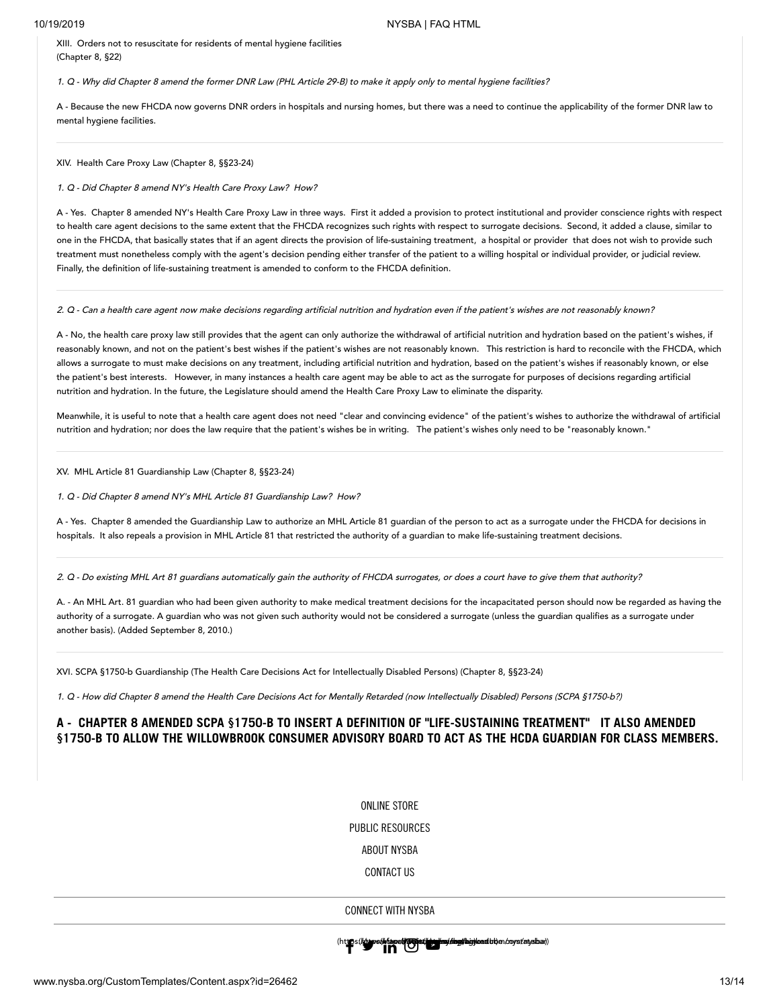<span id="page-12-0"></span>XIII. Orders not to resuscitate for residents of mental hygiene facilities (Chapter 8, §22)

1. <sup>Q</sup> -Why did Chapter <sup>8</sup> amend the former DNR Law (PHL Article 29-B) to make it apply only to mental hygiene facilities?

A - Because the new FHCDA now governs DNR orders in hospitals and nursing homes, but there was a need to continue the applicability of the former DNR law to mental hygiene facilities.

<span id="page-12-1"></span>XIV. Health Care Proxy Law (Chapter 8, §§23-24)

1. Q -Did Chapter 8 amend NY's Health Care Proxy Law? How?

A - Yes. Chapter 8 amended NY's Health Care Proxy Law in three ways. First it added a provision to protect institutional and provider conscience rights with respect to health care agent decisions to the same extent that the FHCDA recognizes such rights with respect to surrogate decisions. Second, it added a clause, similar to one in the FHCDA, that basically states that if an agent directs the provision of life-sustaining treatment, a hospital or provider that does not wish to provide such treatment must nonetheless comply with the agent's decision pending either transfer of the patient to a willing hospital or individual provider, or judicial review. Finally, the definition of life-sustaining treatment is amended to conform to the FHCDA definition.

2. <sup>Q</sup> -Can <sup>a</sup> health care agent now make decisions regarding artificial nutrition and hydration even if the patient's wishes are not reasonably known?

A - No, the health care proxy law still provides that the agent can only authorize the withdrawal of artificial nutrition and hydration based on the patient's wishes, if reasonably known, and not on the patient's best wishes if the patient's wishes are not reasonably known. This restriction is hard to reconcile with the FHCDA, which allows a surrogate to must make decisions on any treatment, including artificial nutrition and hydration, based on the patient's wishes if reasonably known, or else the patient's best interests. However, in many instances a health care agent may be able to act as the surrogate for purposes of decisions regarding artificial nutrition and hydration. In the future, the Legislature should amend the Health Care Proxy Law to eliminate the disparity.

Meanwhile, it is useful to note that a health care agent does not need "clear and convincing evidence" of the patient's wishes to authorize the withdrawal of artificial nutrition and hydration; nor does the law require that the patient's wishes be in writing. The patient's wishes only need to be "reasonably known."

<span id="page-12-2"></span>XV. MHL Article 81 Guardianship Law (Chapter 8, §§23-24)

1. Q -Did Chapter 8 amend NY's MHL Article 81 Guardianship Law? How?

A - Yes. Chapter 8 amended the Guardianship Law to authorize an MHL Article 81 guardian of the person to act as a surrogate under the FHCDA for decisions in hospitals. It also repeals a provision in MHL Article 81 that restricted the authority of a guardian to make life-sustaining treatment decisions.

2. Q -Do existing MHL Art 81 guardians automatically gain the authority of FHCDA surrogates, or does <sup>a</sup> court have to give them that authority?

A. - An MHL Art. 81 guardian who had been given authority to make medical treatment decisions for the incapacitated person should now be regarded as having the authority of a surrogate. A guardian who was not given such authority would not be considered a surrogate (unless the guardian qualifies as a surrogate under another basis). (Added September 8, 2010.)

<span id="page-12-3"></span>XVI. SCPA §1750-b Guardianship (The Health Care Decisions Act for Intellectually Disabled Persons) (Chapter 8, §§23-24)

1. <sup>Q</sup> -How did Chapter <sup>8</sup> amend the Health Care Decisions Act for Mentally Retarded (now Intellectually Disabled) Persons (SCPA §1750-b?)

# **A - CHAPTER 8 AMENDED SCPA §1750-B TO INSERT A DEFINITION OF "LIFE-SUSTAINING TREATMENT" IT ALSO AMENDED §1750-B TO ALLOW THE WILLOWBROOK CONSUMER ADVISORY BOARD TO ACT AS THE HCDA GUARDIAN FOR CLASS MEMBERS.**

ONLINE STORE

PUBLIC RESOURCES

ABOUT NYSBA

CONTACT US

CONNECT WITH NYSBA